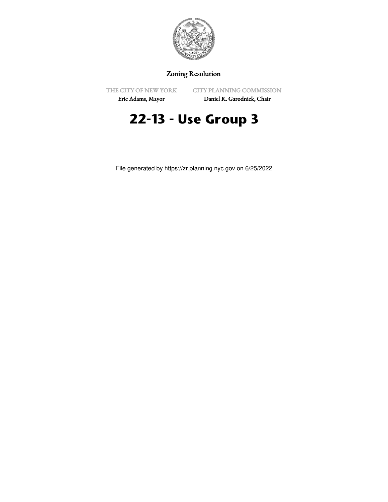

## Zoning Resolution

THE CITY OF NEW YORK

CITY PLANNING COMMISSION

Eric Adams, Mayor

Daniel R. Garodnick, Chair

# **22-13 - Use Group 3**

File generated by https://zr.planning.nyc.gov on 6/25/2022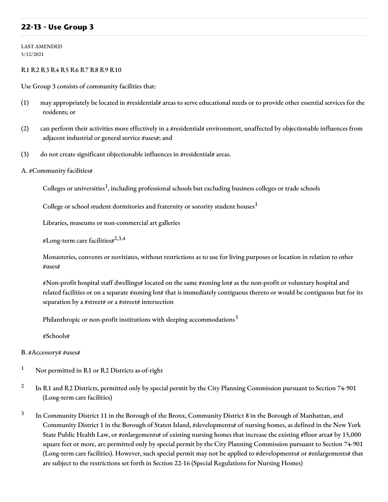## **22-13 - Use Group 3**

LAST AMENDED 5/12/2021

### R1 R2 R3 R4 R5 R6 R7 R8 R9 R10

Use Group 3 consists of community facilities that:

- (1) may appropriately be located in #residential# areas to serve educational needs or to provide other essential services for the residents; or
- (2) can perform their activities more effectively in a #residential# environment, unaffected by objectionable influences from adjacent industrial or general service #uses#; and
- (3) do not create significant objectionable influences in #residential# areas.
- A. #Community facilities#

Colleges or universities<sup>1</sup>, including professional schools but excluding business colleges or trade schools

College or school student dormitories and fraternity or sorority student houses $^{\mathrm{1}}$ 

Libraries, museums or non-commercial art galleries

#Long-term care facilities# $^{2,3,4}$ 

Monasteries, convents or novitiates, without restrictions as to use for living purposes or location in relation to other #uses#

#Non-profit hospital staff dwellings# located on the same #zoning lot# as the non-profit or voluntary hospital and related facilities or on a separate #zoning lot# that is immediately contiguous thereto or would be contiguous but for its separation by a #street# or a #street# intersection

Philanthropic or non-profit institutions with sleeping accommodations<sup>5</sup>

#Schools#

#### B. #Accessory# #uses#

- <sup>1</sup> Not permitted in R1 or R2 Districts as-of-right
- 2 In R1 and R2 Districts, permitted only by special permit by the City Planning Commission pursuant to Section 74-901 (Long-term care facilities)
- 3 In Community District 11 in the Borough of the Bronx, Community District 8 in the Borough of Manhattan, and Community District 1 in the Borough of Staten Island, #developments# of nursing homes, as defined in the New York State Public Health Law, or #enlargements# of existing nursing homes that increase the existing #floor area# by 15,000 square feet or more, are permitted only by special permit by the City Planning Commission pursuant to Section 74-901 (Long-term care facilities). However, such special permit may not be applied to #developments# or #enlargements# that are subject to the restrictions set forth in Section 22-16 (Special Regulations for Nursing Homes)